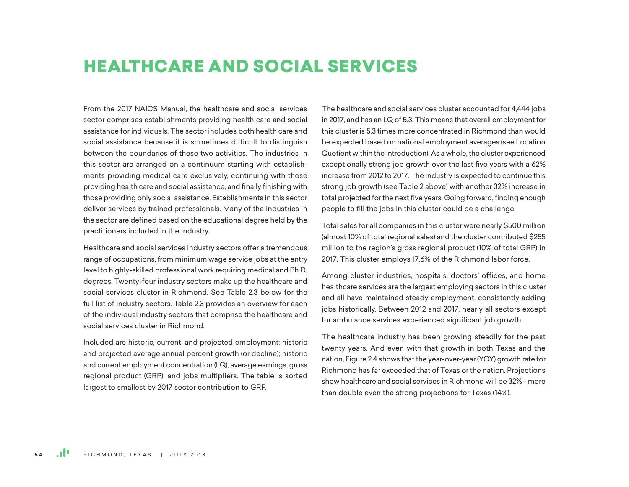# HEALTHCARE AND SOCIAL SERVICES

From the 2017 NAICS Manual, the healthcare and social services sector comprises establishments providing health care and social assistance for individuals. The sector includes both health care and social assistance because it is sometimes difficult to distinguish between the boundaries of these two activities. The industries in this sector are arranged on a continuum starting with establishments providing medical care exclusively, continuing with those providing health care and social assistance, and finally finishing with those providing only social assistance. Establishments in this sector deliver services by trained professionals. Many of the industries in the sector are defined based on the educational degree held by the practitioners included in the industry.

Healthcare and social services industry sectors offer a tremendous range of occupations, from minimum wage service jobs at the entry level to highly-skilled professional work requiring medical and Ph.D. degrees. Twenty-four industry sectors make up the healthcare and social services cluster in Richmond. See Table 2.3 below for the full list of industry sectors. Table 2.3 provides an overview for each of the individual industry sectors that comprise the healthcare and social services cluster in Richmond.

Included are historic, current, and projected employment; historic and projected average annual percent growth (or decline); historic and current employment concentration (LQ); average earnings; gross regional product (GRP); and jobs multipliers. The table is sorted largest to smallest by 2017 sector contribution to GRP.

The healthcare and social services cluster accounted for 4,444 jobs in 2017, and has an LQ of 5.3. This means that overall employment for this cluster is 5.3 times more concentrated in Richmond than would be expected based on national employment averages (see Location Quotient within the Introduction). As a whole, the cluster experienced exceptionally strong job growth over the last five years with a 62% increase from 2012 to 2017. The industry is expected to continue this strong job growth (see Table 2 above) with another 32% increase in total projected for the next five years. Going forward, finding enough people to fill the jobs in this cluster could be a challenge.

Total sales for all companies in this cluster were nearly \$500 million (almost 10% of total regional sales) and the cluster contributed \$255 million to the region's gross regional product (10% of total GRP) in 2017. This cluster employs 17.6% of the Richmond labor force.

Among cluster industries, hospitals, doctors' offices, and home healthcare services are the largest employing sectors in this cluster and all have maintained steady employment, consistently adding jobs historically. Between 2012 and 2017, nearly all sectors except for ambulance services experienced significant job growth.

The healthcare industry has been growing steadily for the past twenty years. And even with that growth in both Texas and the nation, Figure 2.4 shows that the year-over-year (YOY) growth rate for Richmond has far exceeded that of Texas or the nation. Projections show healthcare and social services in Richmond will be 32% - more than double even the strong projections for Texas (14%).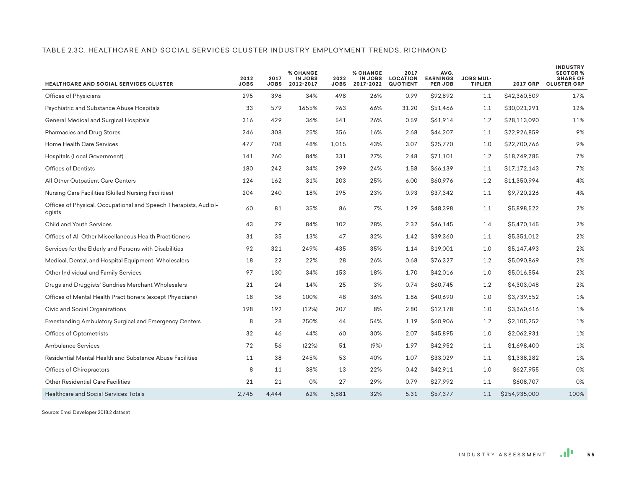#### TABLE 2.3C. HEALTHCARE AND SOCIAL SERVICES CLUSTER INDUSTRY EMPLOYMENT TRENDS, RICHMOND

| <b>HEALTHCARE AND SOCIAL SERVICES CLUSTER</b>                              | 2012<br><b>JOBS</b> | 2017<br><b>JOBS</b> | <b>% CHANGE</b><br><b>IN JOBS</b><br>2012-2017 | 2022<br><b>JOBS</b> | <b>% CHANGE</b><br><b>IN JOBS</b><br>2017-2022 | 2017<br><b>LOCATION</b><br><b>QUOTIENT</b> | AVG.<br><b>EARNINGS</b><br>PER JOB | <b>JOBS MUL-</b><br><b>TIPLIER</b> | <b>2017 GRP</b> | <b>INDUSTRY</b><br><b>SECTOR %</b><br><b>SHARE OF</b><br><b>CLUSTER GRP</b> |
|----------------------------------------------------------------------------|---------------------|---------------------|------------------------------------------------|---------------------|------------------------------------------------|--------------------------------------------|------------------------------------|------------------------------------|-----------------|-----------------------------------------------------------------------------|
| Offices of Physicians                                                      | 295                 | 396                 | 34%                                            | 498                 | 26%                                            | 0.99                                       | \$92,892                           | 1.1                                | \$42,360,509    | 17%                                                                         |
| Psychiatric and Substance Abuse Hospitals                                  | 33                  | 579                 | 1655%                                          | 963                 | 66%                                            | 31.20                                      | \$51,466                           | 1.1                                | \$30,021,291    | 12%                                                                         |
| General Medical and Surgical Hospitals                                     | 316                 | 429                 | 36%                                            | 541                 | 26%                                            | 0.59                                       | \$61,914                           | 1.2                                | \$28,113,090    | 11%                                                                         |
| Pharmacies and Drug Stores                                                 | 246                 | 308                 | 25%                                            | 356                 | 16%                                            | 2.68                                       | \$44,207                           | 1.1                                | \$22,926,859    | 9%                                                                          |
| Home Health Care Services                                                  | 477                 | 708                 | 48%                                            | 1,015               | 43%                                            | 3.07                                       | \$25,770                           | 1.0                                | \$22,700,766    | 9%                                                                          |
| Hospitals (Local Government)                                               | 141                 | 260                 | 84%                                            | 331                 | 27%                                            | 2.48                                       | \$71,101                           | 1.2                                | \$18,749,785    | 7%                                                                          |
| <b>Offices of Dentists</b>                                                 | 180                 | 242                 | 34%                                            | 299                 | 24%                                            | 1.58                                       | \$66,139                           | 1.1                                | \$17,172,143    | 7%                                                                          |
| All Other Outpatient Care Centers                                          | 124                 | 162                 | 31%                                            | 203                 | 25%                                            | 6.00                                       | \$60,976                           | 1.2                                | \$11,350,994    | 4%                                                                          |
| Nursing Care Facilities (Skilled Nursing Facilities)                       | 204                 | 240                 | 18%                                            | 295                 | 23%                                            | 0.93                                       | \$37,342                           | 1.1                                | \$9,720,226     | 4%                                                                          |
| Offices of Physical, Occupational and Speech Therapists, Audiol-<br>ogists | 60                  | 81                  | 35%                                            | 86                  | 7%                                             | 1.29                                       | \$48,398                           | 1.1                                | \$5,898,522     | 2%                                                                          |
| Child and Youth Services                                                   | 43                  | 79                  | 84%                                            | 102                 | 28%                                            | 2.32                                       | \$46,145                           | 1.4                                | \$5,470,145     | 2%                                                                          |
| Offices of All Other Miscellaneous Health Practitioners                    | 31                  | 35                  | 13%                                            | 47                  | 32%                                            | 1.42                                       | \$39,360                           | 1.1                                | \$5,351,012     | 2%                                                                          |
| Services for the Elderly and Persons with Disabilities                     | 92                  | 321                 | 249%                                           | 435                 | 35%                                            | 1.14                                       | \$19,001                           | 1.0                                | S5.147.493      | 2%                                                                          |
| Medical, Dental, and Hospital Equipment Wholesalers                        | 18                  | 22                  | 22%                                            | 28                  | 26%                                            | 0.68                                       | \$76,327                           | 1.2                                | \$5,090,869     | 2%                                                                          |
| Other Individual and Family Services                                       | 97                  | 130                 | 34%                                            | 153                 | 18%                                            | 1.70                                       | \$42,016                           | 1.0                                | \$5,016,554     | 2%                                                                          |
| Drugs and Druggists' Sundries Merchant Wholesalers                         | 21                  | 24                  | 14%                                            | 25                  | 3%                                             | 0.74                                       | \$60,745                           | 1.2                                | \$4,303,048     | 2%                                                                          |
| Offices of Mental Health Practitioners (except Physicians)                 | 18                  | 36                  | 100%                                           | 48                  | 36%                                            | 1.86                                       | \$40,690                           | 1.0                                | \$3,739,552     | 1%                                                                          |
| Civic and Social Organizations                                             | 198                 | 192                 | (12%)                                          | 207                 | 8%                                             | 2.80                                       | \$12,178                           | 1.0                                | \$3,360,616     | 1%                                                                          |
| Freestanding Ambulatory Surgical and Emergency Centers                     | 8                   | 28                  | 250%                                           | 44                  | 54%                                            | 1.19                                       | \$60,906                           | 1.2                                | \$2,105,252     | 1%                                                                          |
| Offices of Optometrists                                                    | 32                  | 46                  | 44%                                            | 60                  | 30%                                            | 2.07                                       | \$45,895                           | 1.0                                | \$2,062,931     | 1%                                                                          |
| <b>Ambulance Services</b>                                                  | 72                  | 56                  | (22%)                                          | 51                  | (9%)                                           | 1.97                                       | \$42,952                           | 1.1                                | \$1,698,400     | 1%                                                                          |
| Residential Mental Health and Substance Abuse Facilities                   | 11                  | 38                  | 245%                                           | 53                  | 40%                                            | 1.07                                       | \$33,029                           | 1.1                                | \$1,338,282     | 1%                                                                          |
| Offices of Chiropractors                                                   | 8                   | 11                  | 38%                                            | 13                  | 22%                                            | 0.42                                       | \$42,911                           | 1.0                                | \$627,955       | 0%                                                                          |
| <b>Other Residential Care Facilities</b>                                   | 21                  | 21                  | 0%                                             | 27                  | 29%                                            | 0.79                                       | \$27,992                           | 1.1                                | S608.707        | 0%                                                                          |
| <b>Healthcare and Social Services Totals</b>                               | 2.745               | 4.444               | 62%                                            | 5,881               | 32%                                            | 5.31                                       | \$57,377                           | 1.1                                | \$254,935,000   | 100%                                                                        |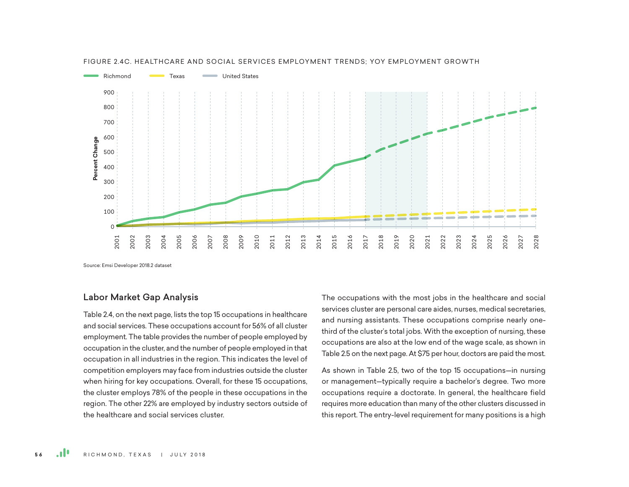

#### FIGURE 2.4C. HEALTHCARE AND SOCIAL SERVICES EMPLOYMENT TRENDS: YOY EMPLOYMENT GROWTH

Source: Emsi Developer 2018.2 dataset

## Labor Market Gap Analysis

Table 2.4, on the next page, lists the top 15 occupations in healthcare and social services. These occupations account for 56% of all cluster employment. The table provides the number of people employed by occupation in the cluster, and the number of people employed in that occupation in all industries in the region. This indicates the level of competition employers may face from industries outside the cluster when hiring for key occupations. Overall, for these 15 occupations, the cluster employs 78% of the people in these occupations in the region. The other 22% are employed by industry sectors outside of the healthcare and social services cluster.

The occupations with the most jobs in the healthcare and social services cluster are personal care aides, nurses, medical secretaries, and nursing assistants. These occupations comprise nearly onethird of the cluster's total jobs. With the exception of nursing, these occupations are also at the low end of the wage scale, as shown in Table 2.5 on the next page. At \$75 per hour, doctors are paid the most.

As shown in Table 2.5, two of the top 15 occupations—in nursing or management—typically require a bachelor's degree. Two more occupations require a doctorate. In general, the healthcare field requires more education than many of the other clusters discussed in this report. The entry-level requirement for many positions is a high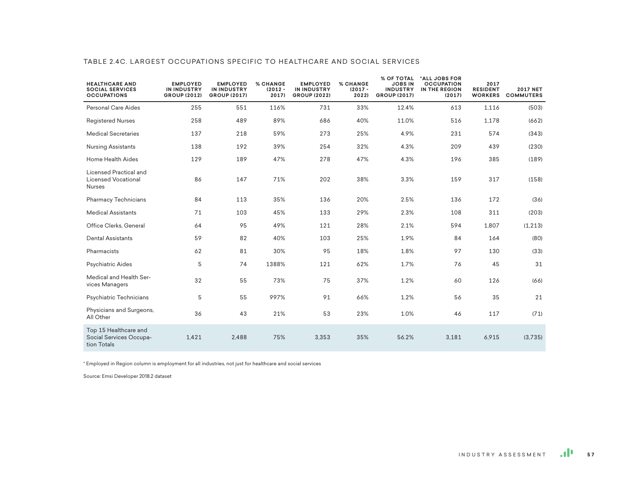| <b>HEALTHCARE AND</b><br><b>SOCIAL SERVICES</b><br><b>OCCUPATIONS</b> | <b>EMPLOYED</b><br><b>IN INDUSTRY</b><br><b>GROUP (2012)</b> | <b>EMPLOYED</b><br><b>IN INDUSTRY</b><br><b>GROUP (2017)</b> | <b>% CHANGE</b><br>$(2012 -$<br>2017) | <b>EMPLOYED</b><br><b>IN INDUSTRY</b><br><b>GROUP (2022)</b> | <b>% CHANGE</b><br>$(2017 -$<br>2022) | % OF TOTAL<br><b>JOBS IN</b><br><b>INDUSTRY</b><br><b>GROUP (2017)</b> | *ALL JOBS FOR<br><b>OCCUPATION</b><br>IN THE REGION<br>(2017) | 2017<br><b>RESIDENT</b><br><b>WORKERS</b> | <b>2017 NET</b><br><b>COMMUTERS</b> |
|-----------------------------------------------------------------------|--------------------------------------------------------------|--------------------------------------------------------------|---------------------------------------|--------------------------------------------------------------|---------------------------------------|------------------------------------------------------------------------|---------------------------------------------------------------|-------------------------------------------|-------------------------------------|
| <b>Personal Care Aides</b>                                            | 255                                                          | 551                                                          | 116%                                  | 731                                                          | 33%                                   | 12.4%                                                                  | 613                                                           | 1,116                                     | (503)                               |
| <b>Registered Nurses</b>                                              | 258                                                          | 489                                                          | 89%                                   | 686                                                          | 40%                                   | 11.0%                                                                  | 516                                                           | 1,178                                     | (662)                               |
| <b>Medical Secretaries</b>                                            | 137                                                          | 218                                                          | 59%                                   | 273                                                          | 25%                                   | 4.9%                                                                   | 231                                                           | 574                                       | (343)                               |
| Nursing Assistants                                                    | 138                                                          | 192                                                          | 39%                                   | 254                                                          | 32%                                   | 4.3%                                                                   | 209                                                           | 439                                       | (230)                               |
| Home Health Aides                                                     | 129                                                          | 189                                                          | 47%                                   | 278                                                          | 47%                                   | 4.3%                                                                   | 196                                                           | 385                                       | (189)                               |
| Licensed Practical and<br>Licensed Vocational<br><b>Nurses</b>        | 86                                                           | 147                                                          | 71%                                   | 202                                                          | 38%                                   | 3.3%                                                                   | 159                                                           | 317                                       | (158)                               |
| <b>Pharmacy Technicians</b>                                           | 84                                                           | 113                                                          | 35%                                   | 136                                                          | 20%                                   | 2.5%                                                                   | 136                                                           | 172                                       | (36)                                |
| <b>Medical Assistants</b>                                             | 71                                                           | 103                                                          | 45%                                   | 133                                                          | 29%                                   | 2.3%                                                                   | 108                                                           | 311                                       | (203)                               |
| Office Clerks, General                                                | 64                                                           | 95                                                           | 49%                                   | 121                                                          | 28%                                   | 2.1%                                                                   | 594                                                           | 1,807                                     | (1, 213)                            |
| Dental Assistants                                                     | 59                                                           | 82                                                           | 40%                                   | 103                                                          | 25%                                   | 1.9%                                                                   | 84                                                            | 164                                       | (80)                                |
| Pharmacists                                                           | 62                                                           | 81                                                           | 30%                                   | 95                                                           | 18%                                   | 1.8%                                                                   | 97                                                            | 130                                       | (33)                                |
| Psychiatric Aides                                                     | 5                                                            | 74                                                           | 1388%                                 | 121                                                          | 62%                                   | 1.7%                                                                   | 76                                                            | 45                                        | 31                                  |
| Medical and Health Ser-<br>vices Managers                             | 32                                                           | 55                                                           | 73%                                   | 75                                                           | 37%                                   | 1.2%                                                                   | 60                                                            | 126                                       | (66)                                |
| Psychiatric Technicians                                               | 5                                                            | 55                                                           | 997%                                  | 91                                                           | 66%                                   | 1.2%                                                                   | 56                                                            | 35                                        | 21                                  |
| Physicians and Surgeons,<br>All Other                                 | 36                                                           | 43                                                           | 21%                                   | 53                                                           | 23%                                   | 1.0%                                                                   | 46                                                            | 117                                       | (71)                                |
| Top 15 Healthcare and<br>Social Services Occupa-<br>tion Totals       | 1,421                                                        | 2,488                                                        | 75%                                   | 3,353                                                        | 35%                                   | 56.2%                                                                  | 3,181                                                         | 6,915                                     | (3,735)                             |

#### TABLE 2.4C. LARGEST OCCUPATIONS SPECIFIC TO HEALTHCARE AND SOCIAL SERVICES

\* Employed in Region column is employment for all industries, not just for healthcare and social services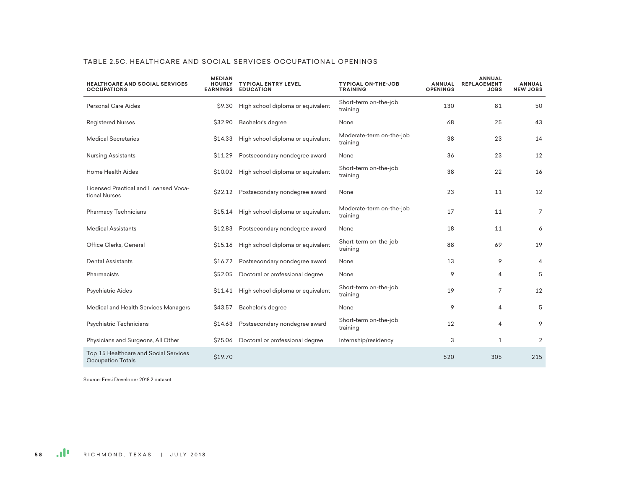| <b>HEALTHCARE AND SOCIAL SERVICES</b><br><b>OCCUPATIONS</b>       | <b>MEDIAN</b><br><b>HOURLY</b><br><b>EARNINGS</b> | <b>TYPICAL ENTRY LEVEL</b><br><b>EDUCATION</b> | <b>TYPICAL ON-THE-JOB</b><br><b>TRAINING</b> | <b>ANNUAL</b><br><b>OPENINGS</b> | <b>ANNUAL</b><br><b>REPLACEMENT</b><br><b>JOBS</b> | <b>ANNUAL</b><br><b>NEW JOBS</b> |
|-------------------------------------------------------------------|---------------------------------------------------|------------------------------------------------|----------------------------------------------|----------------------------------|----------------------------------------------------|----------------------------------|
| <b>Personal Care Aides</b>                                        | \$9.30                                            | High school diploma or equivalent              | Short-term on-the-job<br>training            | 130                              | 81                                                 | 50                               |
| <b>Registered Nurses</b>                                          | \$32.90                                           | Bachelor's degree                              | None                                         | 68                               | 25                                                 | 43                               |
| <b>Medical Secretaries</b>                                        | S <sub>14.33</sub>                                | High school diploma or equivalent              | Moderate-term on-the-job<br>training         | 38                               | 23                                                 | 14                               |
| <b>Nursing Assistants</b>                                         | \$11.29                                           | Postsecondary nondegree award                  | None                                         | 36                               | 23                                                 | 12                               |
| Home Health Aides                                                 |                                                   | \$10.02 High school diploma or equivalent      | Short-term on-the-job<br>training            | 38                               | 22                                                 | 16                               |
| Licensed Practical and Licensed Voca-<br>tional Nurses            | \$22.12                                           | Postsecondary nondegree award                  | None                                         | 23                               | 11                                                 | 12                               |
| <b>Pharmacy Technicians</b>                                       | \$15.14                                           | High school diploma or equivalent              | Moderate-term on-the-job<br>training         | 17                               | 11                                                 | $\overline{7}$                   |
| <b>Medical Assistants</b>                                         | \$12.83                                           | Postsecondary nondegree award                  | None                                         | 18                               | 11                                                 | 6                                |
| Office Clerks, General                                            | \$15.16                                           | High school diploma or equivalent              | Short-term on-the-job<br>training            | 88                               | 69                                                 | 19                               |
| Dental Assistants                                                 | \$16.72                                           | Postsecondary nondegree award                  | None                                         | 13                               | 9                                                  | 4                                |
| Pharmacists                                                       | \$52.05                                           | Doctoral or professional degree                | None                                         | 9                                | $\overline{4}$                                     | 5                                |
| Psychiatric Aides                                                 | \$11.41                                           | High school diploma or equivalent              | Short-term on-the-job<br>training            | 19                               | $\overline{7}$                                     | 12                               |
| Medical and Health Services Managers                              | \$43.57                                           | Bachelor's degree                              | None                                         | 9                                | $\overline{4}$                                     | 5                                |
| Psychiatric Technicians                                           | \$14.63                                           | Postsecondary nondegree award                  | Short-term on-the-job<br>training            | 12                               | $\overline{4}$                                     | 9                                |
| Physicians and Surgeons, All Other                                | \$75.06                                           | Doctoral or professional degree                | Internship/residency                         | 3                                | $\mathbf{1}$                                       | 2                                |
| Top 15 Healthcare and Social Services<br><b>Occupation Totals</b> | \$19.70                                           |                                                |                                              | 520                              | 305                                                | 215                              |

#### TABLE 2.5C. HEALTHCARE AND SOCIAL SERVICES OCCUPATIONAL OPENINGS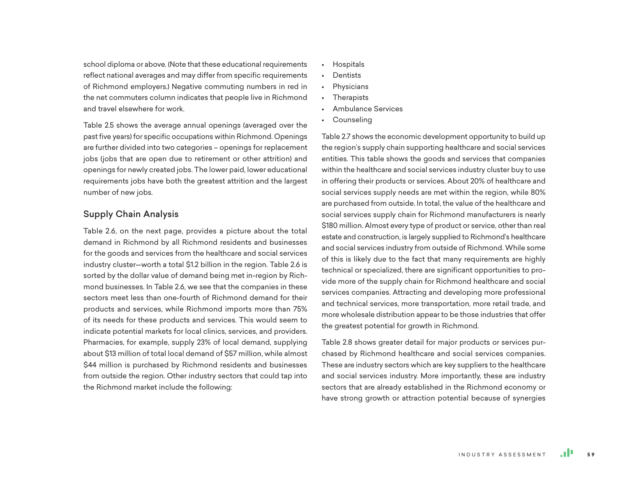school diploma or above. (Note that these educational requirements reflect national averages and may differ from specific requirements of Richmond employers.) Negative commuting numbers in red in the net commuters column indicates that people live in Richmond and travel elsewhere for work.

Table 2.5 shows the average annual openings (averaged over the past five years) for specific occupations within Richmond. Openings are further divided into two categories – openings for replacement jobs (jobs that are open due to retirement or other attrition) and openings for newly created jobs. The lower paid, lower educational requirements jobs have both the greatest attrition and the largest number of new jobs.

## Supply Chain Analysis

Table 2.6, on the next page, provides a picture about the total demand in Richmond by all Richmond residents and businesses for the goods and services from the healthcare and social services industry cluster—worth a total \$1.2 billion in the region. Table 2.6 is sorted by the dollar value of demand being met in-region by Richmond businesses. In Table 2.6, we see that the companies in these sectors meet less than one-fourth of Richmond demand for their products and services, while Richmond imports more than 75% of its needs for these products and services. This would seem to indicate potential markets for local clinics, services, and providers. Pharmacies, for example, supply 23% of local demand, supplying about \$13 million of total local demand of \$57 million, while almost \$44 million is purchased by Richmond residents and businesses from outside the region. Other industry sectors that could tap into the Richmond market include the following:

- Hospitals
- Dentists
- **Physicians**
- **Therapists**
- Ambulance Services
- Counseling

Table 2.7 shows the economic development opportunity to build up the region's supply chain supporting healthcare and social services entities. This table shows the goods and services that companies within the healthcare and social services industry cluster buy to use in offering their products or services. About 20% of healthcare and social services supply needs are met within the region, while 80% are purchased from outside. In total, the value of the healthcare and social services supply chain for Richmond manufacturers is nearly \$180 million. Almost every type of product or service, other than real estate and construction, is largely supplied to Richmond's healthcare and social services industry from outside of Richmond. While some of this is likely due to the fact that many requirements are highly technical or specialized, there are significant opportunities to provide more of the supply chain for Richmond healthcare and social services companies. Attracting and developing more professional and technical services, more transportation, more retail trade, and more wholesale distribution appear to be those industries that offer the greatest potential for growth in Richmond.

Table 2.8 shows greater detail for major products or services purchased by Richmond healthcare and social services companies. These are industry sectors which are key suppliers to the healthcare and social services industry. More importantly, these are industry sectors that are already established in the Richmond economy or have strong growth or attraction potential because of synergies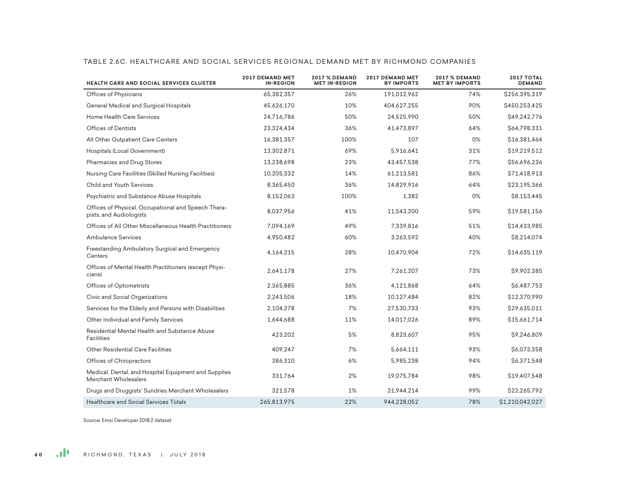| <b>HEALTH CARE AND SOCIAL SERVICES CLUSTER</b>                                 | <b>2017 DEMAND MET</b><br><b>IN-REGION</b> | <b>2017 % DEMAND</b><br><b>MET IN-REGION</b> | <b>2017 DEMAND MET</b><br><b>BY IMPORTS</b> | <b>2017 % DEMAND</b><br><b>MET BY IMPORTS</b> | 2017 TOTAL<br><b>DEMAND</b> |
|--------------------------------------------------------------------------------|--------------------------------------------|----------------------------------------------|---------------------------------------------|-----------------------------------------------|-----------------------------|
| Offices of Physicians                                                          | 65,382,357                                 | 26%                                          | 191,012,962                                 | 74%                                           | \$256,395,319               |
| General Medical and Surgical Hospitals                                         | 45,626,170                                 | 10%                                          | 404,627,255                                 | 90%                                           | \$450,253,425               |
| <b>Home Health Care Services</b>                                               | 24,716,786                                 | 50%                                          | 24,525,990                                  | 50%                                           | \$49,242,776                |
| <b>Offices of Dentists</b>                                                     | 23,324,434                                 | 36%                                          | 41,473,897                                  | 64%                                           | \$64,798,331                |
| All Other Outpatient Care Centers                                              | 16,381,357                                 | 100%                                         | 107                                         | 0%                                            | \$16,381,464                |
| Hospitals (Local Government)                                                   | 13,302,871                                 | 69%                                          | 5,916,641                                   | 31%                                           | \$19,219,512                |
| Pharmacies and Drug Stores                                                     | 13,238,698                                 | 23%                                          | 43,457,538                                  | 77%                                           | \$56,696,236                |
| Nursing Care Facilities (Skilled Nursing Facilities)                           | 10,205,332                                 | 14%                                          | 61,213,581                                  | 86%                                           | \$71,418,913                |
| Child and Youth Services                                                       | 8,365,450                                  | 36%                                          | 14,829,916                                  | 64%                                           | \$23,195,366                |
| Psychiatric and Substance Abuse Hospitals                                      | 8,152,063                                  | 100%                                         | 1,382                                       | 0%                                            | \$8,153,445                 |
| Offices of Physical, Occupational and Speech Thera-<br>pists, and Audiologists | 8,037,956                                  | 41%                                          | 11,543,200                                  | 59%                                           | \$19,581,156                |
| Offices of All Other Miscellaneous Health Practitioners                        | 7,094,169                                  | 49%                                          | 7,339,816                                   | 51%                                           | \$14,433,985                |
| Ambulance Services                                                             | 4,950,482                                  | 60%                                          | 3,263,592                                   | 40%                                           | \$8,214,074                 |
| Freestanding Ambulatory Surgical and Emergency<br>Centers                      | 4,164,215                                  | 28%                                          | 10,470,904                                  | 72%                                           | \$14,635,119                |
| Offices of Mental Health Practitioners (except Physi-<br>cians)                | 2,641,178                                  | 27%                                          | 7,261,207                                   | 73%                                           | \$9,902,385                 |
| Offices of Optometrists                                                        | 2,365,885                                  | 36%                                          | 4,121,868                                   | 64%                                           | \$6,487,753                 |
| Civic and Social Organizations                                                 | 2,243,506                                  | 18%                                          | 10,127,484                                  | 82%                                           | \$12,370,990                |
| Services for the Elderly and Persons with Disabilities                         | 2,104,278                                  | 7%                                           | 27,530,733                                  | 93%                                           | \$29,635,011                |
| Other Individual and Family Services                                           | 1,644,688                                  | 11%                                          | 14,017,026                                  | 89%                                           | \$15,661,714                |
| Residential Mental Health and Substance Abuse<br>Facilities                    | 423,202                                    | 5%                                           | 8,823,607                                   | 95%                                           | \$9,246,809                 |
| Other Residential Care Facilities                                              | 409,247                                    | 7%                                           | 5,664,111                                   | 93%                                           | \$6,073,358                 |
| Offices of Chiropractors                                                       | 386,310                                    | 6%                                           | 5,985,238                                   | 94%                                           | \$6,371,548                 |
| Medical, Dental, and Hospital Equipment and Supplies<br>Merchant Wholesalers   | 331,764                                    | 2%                                           | 19,075,784                                  | 98%                                           | \$19,407,548                |
| Drugs and Druggists' Sundries Merchant Wholesalers                             | 321,578                                    | 1%                                           | 21,944,214                                  | 99%                                           | \$22,265,792                |
| <b>Healthcare and Social Services Totals</b>                                   | 265.813.975                                | 22%                                          | 944.228.052                                 | 78%                                           | \$1,210,042,027             |

#### TABLE 2.6C. HEALTHCARE AND SOCIAL SERVICES REGIONAL DEMAND MET BY RICHMOND COMPANIES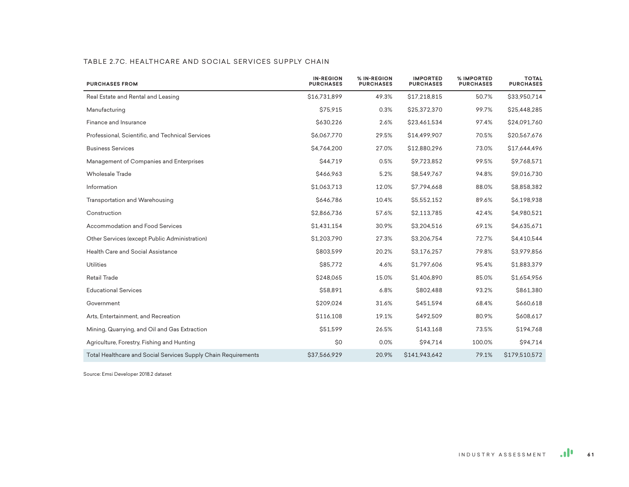|  |  | TABLE 2.7C. HEALTHCARE AND SOCIAL SERVICES SUPPLY CHAIN |  |
|--|--|---------------------------------------------------------|--|
|  |  |                                                         |  |

| <b>PURCHASES FROM</b>                                          | <b>IN-REGION</b><br><b>PURCHASES</b> | % IN-REGION<br><b>PURCHASES</b> | <b>IMPORTED</b><br><b>PURCHASES</b> | % IMPORTED<br><b>PURCHASES</b> | <b>TOTAL</b><br><b>PURCHASES</b> |
|----------------------------------------------------------------|--------------------------------------|---------------------------------|-------------------------------------|--------------------------------|----------------------------------|
| Real Estate and Rental and Leasing                             | \$16,731,899                         | 49.3%                           | \$17,218,815                        | 50.7%                          | \$33,950,714                     |
| Manufacturing                                                  | \$75,915                             | 0.3%                            | \$25,372,370                        | 99.7%                          | \$25,448,285                     |
| Finance and Insurance                                          | \$630,226                            | 2.6%                            | \$23,461,534                        | 97.4%                          | \$24,091,760                     |
| Professional, Scientific, and Technical Services               | \$6,067,770                          | 29.5%                           | \$14,499,907                        | 70.5%                          | \$20,567,676                     |
| <b>Business Services</b>                                       | \$4,764,200                          | 27.0%                           | \$12,880,296                        | 73.0%                          | \$17,644,496                     |
| Management of Companies and Enterprises                        | \$44,719                             | 0.5%                            | \$9,723,852                         | 99.5%                          | \$9,768,571                      |
| <b>Wholesale Trade</b>                                         | \$466,963                            | 5.2%                            | \$8,549,767                         | 94.8%                          | \$9,016,730                      |
| Information                                                    | \$1,063,713                          | 12.0%                           | \$7,794,668                         | 88.0%                          | \$8,858,382                      |
| Transportation and Warehousing                                 | \$646,786                            | 10.4%                           | \$5,552,152                         | 89.6%                          | \$6,198,938                      |
| Construction                                                   | \$2,866,736                          | 57.6%                           | \$2,113,785                         | 42.4%                          | \$4,980,521                      |
| Accommodation and Food Services                                | \$1,431,154                          | 30.9%                           | \$3,204,516                         | 69.1%                          | \$4,635,671                      |
| Other Services (except Public Administration)                  | \$1,203,790                          | 27.3%                           | \$3,206,754                         | 72.7%                          | \$4,410,544                      |
| Health Care and Social Assistance                              | \$803,599                            | 20.2%                           | \$3,176,257                         | 79.8%                          | \$3,979,856                      |
| Utilities                                                      | \$85,772                             | 4.6%                            | \$1,797,606                         | 95.4%                          | \$1,883,379                      |
| <b>Retail Trade</b>                                            | \$248,065                            | 15.0%                           | \$1,406,890                         | 85.0%                          | \$1,654,956                      |
| <b>Educational Services</b>                                    | \$58,891                             | 6.8%                            | \$802,488                           | 93.2%                          | \$861,380                        |
| Government                                                     | \$209,024                            | 31.6%                           | \$451,594                           | 68.4%                          | \$660,618                        |
| Arts, Entertainment, and Recreation                            | \$116,108                            | 19.1%                           | \$492,509                           | 80.9%                          | \$608,617                        |
| Mining, Quarrying, and Oil and Gas Extraction                  | \$51,599                             | 26.5%                           | \$143,168                           | 73.5%                          | \$194,768                        |
| Agriculture, Forestry, Fishing and Hunting                     | \$0                                  | 0.0%                            | \$94,714                            | 100.0%                         | \$94,714                         |
| Total Healthcare and Social Services Supply Chain Requirements | \$37,566,929                         | 20.9%                           | \$141,943,642                       | 79.1%                          | \$179,510,572                    |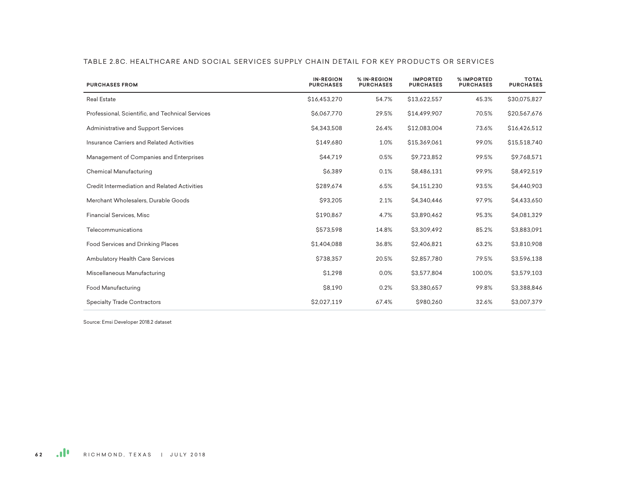| <b>PURCHASES FROM</b>                            | <b>IN-REGION</b><br><b>PURCHASES</b> | % IN-REGION<br><b>PURCHASES</b> | <b>IMPORTED</b><br><b>PURCHASES</b> | % IMPORTED<br><b>PURCHASES</b> | <b>TOTAL</b><br><b>PURCHASES</b> |
|--------------------------------------------------|--------------------------------------|---------------------------------|-------------------------------------|--------------------------------|----------------------------------|
| <b>Real Estate</b>                               | \$16,453,270                         | 54.7%                           | \$13,622,557                        | 45.3%                          | \$30,075,827                     |
| Professional, Scientific, and Technical Services | \$6,067,770                          | 29.5%                           | \$14,499,907                        | 70.5%                          | \$20,567,676                     |
| Administrative and Support Services              | \$4.343.508                          | 26.4%                           | \$12,083,004                        | 73.6%                          | \$16,426,512                     |
| Insurance Carriers and Related Activities        | \$149,680                            | 1.0%                            | \$15,369,061                        | 99.0%                          | \$15,518,740                     |
| Management of Companies and Enterprises          | <b>S44.719</b>                       | 0.5%                            | \$9,723,852                         | 99.5%                          | \$9,768,571                      |
| Chemical Manufacturing                           | \$6,389                              | 0.1%                            | \$8,486,131                         | 99.9%                          | \$8,492,519                      |
| Credit Intermediation and Related Activities     | \$289,674                            | 6.5%                            | \$4,151,230                         | 93.5%                          | \$4,440,903                      |
| Merchant Wholesalers, Durable Goods              | \$93,205                             | 2.1%                            | \$4,340,446                         | 97.9%                          | \$4,433,650                      |
| Financial Services, Misc                         | \$190,867                            | 4.7%                            | \$3,890,462                         | 95.3%                          | \$4,081,329                      |
| Telecommunications                               | \$573,598                            | 14.8%                           | \$3,309,492                         | 85.2%                          | \$3,883,091                      |
| Food Services and Drinking Places                | \$1,404,088                          | 36.8%                           | \$2,406,821                         | 63.2%                          | \$3,810,908                      |
| <b>Ambulatory Health Care Services</b>           | \$738,357                            | 20.5%                           | \$2,857,780                         | 79.5%                          | \$3,596,138                      |
| Miscellaneous Manufacturing                      | \$1,298                              | 0.0%                            | \$3,577,804                         | 100.0%                         | \$3,579,103                      |
| Food Manufacturing                               | \$8,190                              | 0.2%                            | \$3,380,657                         | 99.8%                          | \$3,388,846                      |
| <b>Specialty Trade Contractors</b>               | \$2,027,119                          | 67.4%                           | \$980,260                           | 32.6%                          | \$3,007,379                      |

#### TABLE 2.8C. HEALTHCARE AND SOCIAL SERVICES SUPPLY CHAIN DETAIL FOR KEY PRODUCTS OR SERVICES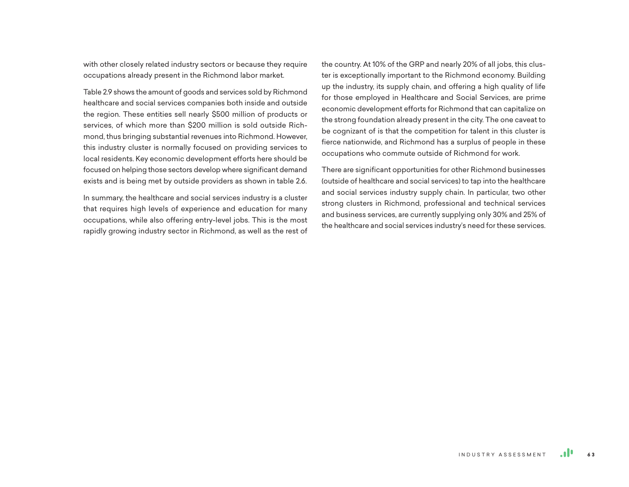with other closely related industry sectors or because they require occupations already present in the Richmond labor market.

Table 2.9 shows the amount of goods and services sold by Richmond healthcare and social services companies both inside and outside the region. These entities sell nearly \$500 million of products or services, of which more than \$200 million is sold outside Richmond, thus bringing substantial revenues into Richmond. However, this industry cluster is normally focused on providing services to local residents. Key economic development efforts here should be focused on helping those sectors develop where significant demand exists and is being met by outside providers as shown in table 2.6.

In summary, the healthcare and social services industry is a cluster that requires high levels of experience and education for many occupations, while also offering entry-level jobs. This is the most rapidly growing industry sector in Richmond, as well as the rest of

the country. At 10% of the GRP and nearly 20% of all jobs, this cluster is exceptionally important to the Richmond economy. Building up the industry, its supply chain, and offering a high quality of life for those employed in Healthcare and Social Services, are prime economic development efforts for Richmond that can capitalize on the strong foundation already present in the city. The one caveat to be cognizant of is that the competition for talent in this cluster is fierce nationwide, and Richmond has a surplus of people in these occupations who commute outside of Richmond for work.

There are significant opportunities for other Richmond businesses (outside of healthcare and social services) to tap into the healthcare and social services industry supply chain. In particular, two other strong clusters in Richmond, professional and technical services and business services, are currently supplying only 30% and 25% of the healthcare and social services industry's need for these services.